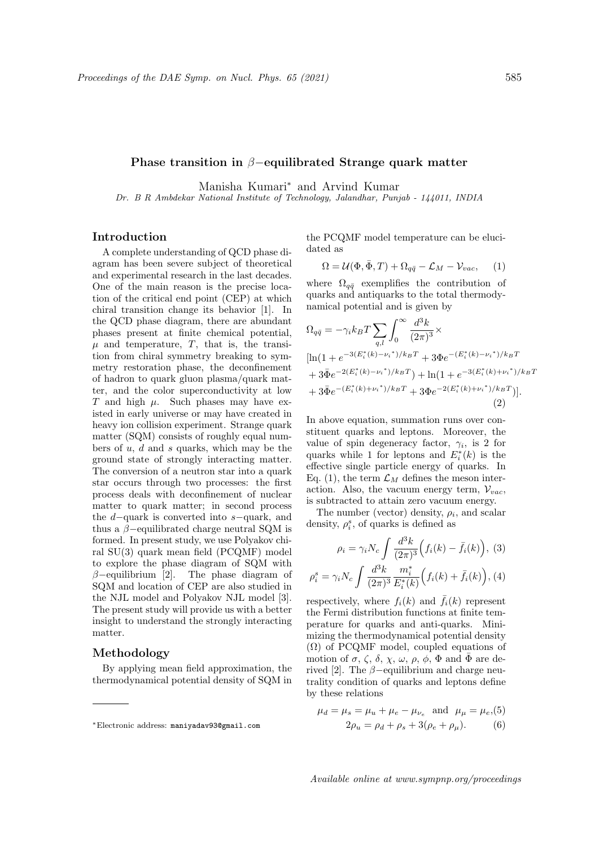#### Phase transition in β−equilibrated Strange quark matter

Manisha Kumari<sup>∗</sup> and Arvind Kumar

Dr. B R Ambdekar National Institute of Technology, Jalandhar, Punjab - 144011, INDIA

# Introduction

A complete understanding of QCD phase diagram has been severe subject of theoretical and experimental research in the last decades. One of the main reason is the precise location of the critical end point (CEP) at which chiral transition change its behavior [1]. In the QCD phase diagram, there are abundant phases present at finite chemical potential,  $\mu$  and temperature,  $T$ , that is, the transition from chiral symmetry breaking to symmetry restoration phase, the deconfinement of hadron to quark gluon plasma/quark matter, and the color superconductivity at low T and high  $\mu$ . Such phases may have existed in early universe or may have created in heavy ion collision experiment. Strange quark matter (SQM) consists of roughly equal numbers of  $u, d$  and  $s$  quarks, which may be the ground state of strongly interacting matter. The conversion of a neutron star into a quark star occurs through two processes: the first process deals with deconfinement of nuclear matter to quark matter; in second process the d−quark is converted into s−quark, and thus a  $\beta$ -equilibrated charge neutral SQM is formed. In present study, we use Polyakov chiral SU(3) quark mean field (PCQMF) model to explore the phase diagram of SQM with  $\beta$ -equilibrium [2]. The phase diagram of SQM and location of CEP are also studied in the NJL model and Polyakov NJL model [3]. The present study will provide us with a better insight to understand the strongly interacting matter.

### Methodology

By applying mean field approximation, the thermodynamical potential density of SQM in

the PCQMF model temperature can be elucidated as

$$
\Omega = \mathcal{U}(\Phi, \bar{\Phi}, T) + \Omega_{q\bar{q}} - \mathcal{L}_M - \mathcal{V}_{vac}, \quad (1)
$$

where  $\Omega_{q\bar{q}}$  exemplifies the contribution of quarks and antiquarks to the total thermodynamical potential and is given by

$$
\Omega_{q\bar{q}} = -\gamma_i k_B T \sum_{q,l} \int_0^\infty \frac{d^3k}{(2\pi)^3} \times
$$
\n
$$
[\ln(1 + e^{-3(E_i^*(k) - \nu_i^*)/k_B T} + 3\Phi e^{-(E_i^*(k) - \nu_i^*)/k_B T} + 3\bar{\Phi} e^{-2(E_i^*(k) - \nu_i^*)/k_B T}) + \ln(1 + e^{-3(E_i^*(k) + \nu_i^*)/k_B T} + 3\bar{\Phi} e^{-(E_i^*(k) + \nu_i^*)/k_B T} + 3\Phi e^{-2(E_i^*(k) + \nu_i^*)/k_B T})].
$$
\n(2)

In above equation, summation runs over constituent quarks and leptons. Moreover, the value of spin degeneracy factor,  $\gamma_i$ , is 2 for quarks while 1 for leptons and  $E_i^*(k)$  is the effective single particle energy of quarks. In Eq. (1), the term  $\mathcal{L}_M$  defines the meson interaction. Also, the vacuum energy term,  $V_{vac}$ , is subtracted to attain zero vacuum energy.

The number (vector) density,  $\rho_i$ , and scalar density,  $\rho_i^s$ , of quarks is defined as

$$
\rho_i = \gamma_i N_c \int \frac{d^3k}{(2\pi)^3} \Big( f_i(k) - \bar{f}_i(k) \Big), \tag{3}
$$

$$
\rho_i^s = \gamma_i N_c \int \frac{d^3k}{(2\pi)^3} \frac{m_i^*}{E_i^*(k)} \Big( f_i(k) + \bar{f}_i(k) \Big), \, (4)
$$

respectively, where  $f_i(k)$  and  $\bar{f}_i(k)$  represent the Fermi distribution functions at finite temperature for quarks and anti-quarks. Minimizing the thermodynamical potential density  $(\Omega)$  of PCQMF model, coupled equations of motion of  $\sigma$ ,  $\zeta$ ,  $\delta$ ,  $\chi$ ,  $\omega$ ,  $\rho$ ,  $\phi$ ,  $\Phi$  and  $\bar{\Phi}$  are derived [2]. The  $\beta$ -equilibrium and charge neutrality condition of quarks and leptons define by these relations

$$
\mu_d = \mu_s = \mu_u + \mu_e - \mu_{\nu_e}
$$
 and  $\mu_{\mu} = \mu_e$ , (5)  
\n $2\rho_u = \rho_d + \rho_s + 3(\rho_e + \rho_\mu)$ . (6)

<sup>∗</sup>Electronic address: maniyadav93@gmail.com